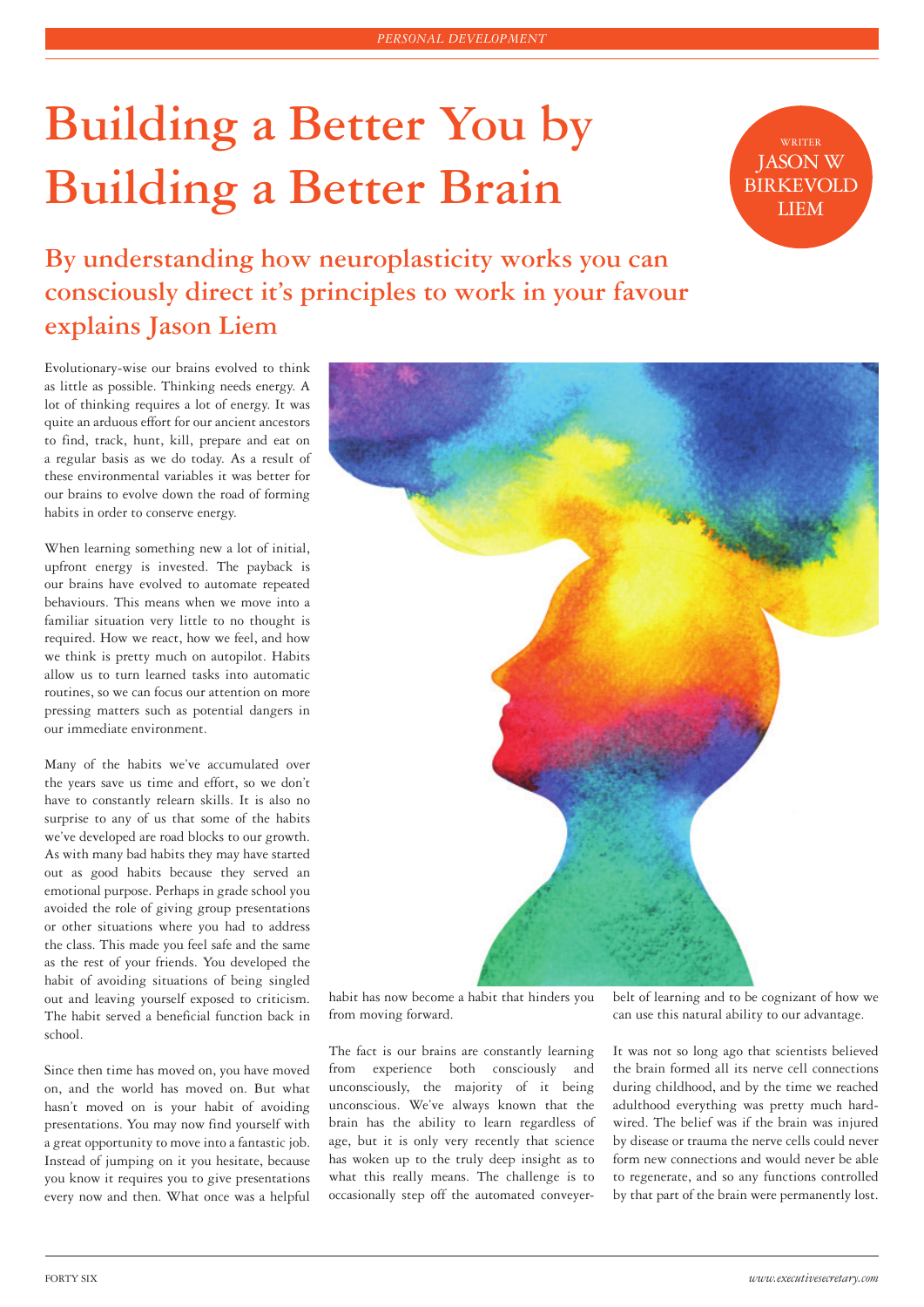## **Building a Better You by Building a Better Brain**

WRITER JASON W **BIRKEVOLD** LIEM

**By understanding how neuroplasticity works you can consciously direct it's principles to work in your favour explains Jason Liem**

Evolutionary-wise our brains evolved to think as little as possible. Thinking needs energy. A lot of thinking requires a lot of energy. It was quite an arduous effort for our ancient ancestors to find, track, hunt, kill, prepare and eat on a regular basis as we do today. As a result of these environmental variables it was better for our brains to evolve down the road of forming habits in order to conserve energy.

When learning something new a lot of initial, upfront energy is invested. The payback is our brains have evolved to automate repeated behaviours. This means when we move into a familiar situation very little to no thought is required. How we react, how we feel, and how we think is pretty much on autopilot. Habits allow us to turn learned tasks into automatic routines, so we can focus our attention on more pressing matters such as potential dangers in our immediate environment.

Many of the habits we've accumulated over the years save us time and effort, so we don't have to constantly relearn skills. It is also no surprise to any of us that some of the habits we've developed are road blocks to our growth. As with many bad habits they may have started out as good habits because they served an emotional purpose. Perhaps in grade school you avoided the role of giving group presentations or other situations where you had to address the class. This made you feel safe and the same as the rest of your friends. You developed the habit of avoiding situations of being singled out and leaving yourself exposed to criticism. The habit served a beneficial function back in school.

Since then time has moved on, you have moved on, and the world has moved on. But what hasn't moved on is your habit of avoiding presentations. You may now find yourself with a great opportunity to move into a fantastic job. Instead of jumping on it you hesitate, because you know it requires you to give presentations every now and then. What once was a helpful



habit has now become a habit that hinders you from moving forward.

The fact is our brains are constantly learning from experience both consciously and unconsciously, the majority of it being unconscious. We've always known that the brain has the ability to learn regardless of age, but it is only very recently that science has woken up to the truly deep insight as to what this really means. The challenge is to occasionally step off the automated conveyer-

belt of learning and to be cognizant of how we can use this natural ability to our advantage.

It was not so long ago that scientists believed the brain formed all its nerve cell connections during childhood, and by the time we reached adulthood everything was pretty much hardwired. The belief was if the brain was injured by disease or trauma the nerve cells could never form new connections and would never be able to regenerate, and so any functions controlled by that part of the brain were permanently lost.